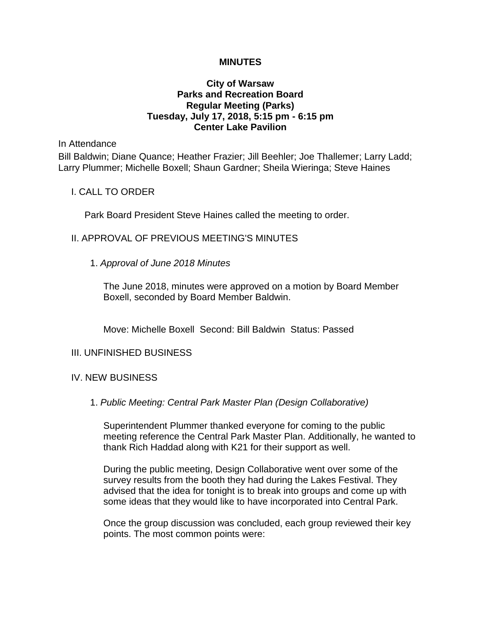## **MINUTES**

## **City of Warsaw Parks and Recreation Board Regular Meeting (Parks) Tuesday, July 17, 2018, 5:15 pm - 6:15 pm Center Lake Pavilion**

In Attendance

Bill Baldwin; Diane Quance; Heather Frazier; Jill Beehler; Joe Thallemer; Larry Ladd; Larry Plummer; Michelle Boxell; Shaun Gardner; Sheila Wieringa; Steve Haines

I. CALL TO ORDER

Park Board President Steve Haines called the meeting to order.

- II. APPROVAL OF PREVIOUS MEETING'S MINUTES
	- 1. *Approval of June 2018 Minutes*

The June 2018, minutes were approved on a motion by Board Member Boxell, seconded by Board Member Baldwin.

Move: Michelle Boxell Second: Bill Baldwin Status: Passed

## III. UNFINISHED BUSINESS

## IV. NEW BUSINESS

1. *Public Meeting: Central Park Master Plan (Design Collaborative)*

Superintendent Plummer thanked everyone for coming to the public meeting reference the Central Park Master Plan. Additionally, he wanted to thank Rich Haddad along with K21 for their support as well.

During the public meeting, Design Collaborative went over some of the survey results from the booth they had during the Lakes Festival. They advised that the idea for tonight is to break into groups and come up with some ideas that they would like to have incorporated into Central Park.

Once the group discussion was concluded, each group reviewed their key points. The most common points were: